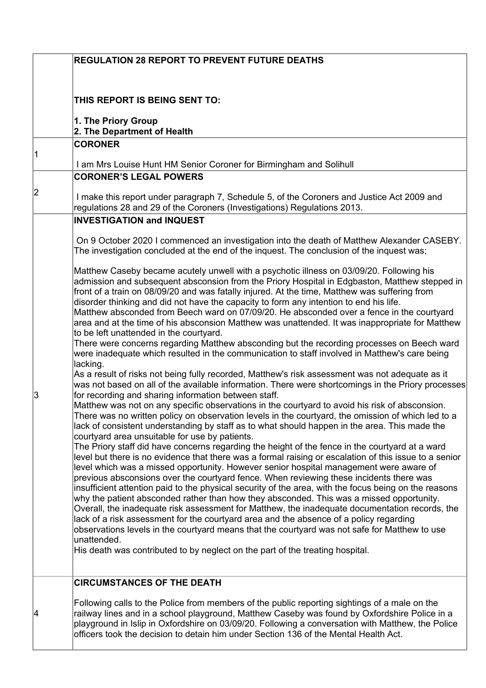|    | <b>REGULATION 28 REPORT TO PREVENT FUTURE DEATHS</b>                                                                                                                                                      |
|----|-----------------------------------------------------------------------------------------------------------------------------------------------------------------------------------------------------------|
|    |                                                                                                                                                                                                           |
|    |                                                                                                                                                                                                           |
|    | THIS REPORT IS BEING SENT TO:                                                                                                                                                                             |
|    | 1. The Priory Group                                                                                                                                                                                       |
|    | 2. The Department of Health                                                                                                                                                                               |
| 11 | <b>CORONER</b>                                                                                                                                                                                            |
|    | I am Mrs Louise Hunt HM Senior Coroner for Birmingham and Solihull                                                                                                                                        |
|    | <b>CORONER'S LEGAL POWERS</b>                                                                                                                                                                             |
| 2  | I make this report under paragraph 7, Schedule 5, of the Coroners and Justice Act 2009 and                                                                                                                |
|    | regulations 28 and 29 of the Coroners (Investigations) Regulations 2013.                                                                                                                                  |
|    | <b>INVESTIGATION and INQUEST</b>                                                                                                                                                                          |
|    | On 9 October 2020 I commenced an investigation into the death of Matthew Alexander CASEBY.                                                                                                                |
|    | The investigation concluded at the end of the inquest. The conclusion of the inquest was;                                                                                                                 |
|    |                                                                                                                                                                                                           |
|    | Matthew Caseby became acutely unwell with a psychotic illness on 03/09/20. Following his<br>admission and subsequent absconsion from the Priory Hospital in Edgbaston, Matthew stepped in                 |
|    | front of a train on 08/09/20 and was fatally injured. At the time, Matthew was suffering from                                                                                                             |
|    | disorder thinking and did not have the capacity to form any intention to end his life.<br>Matthew absconded from Beech ward on 07/09/20. He absconded over a fence in the courtyard                       |
|    | area and at the time of his absconsion Matthew was unattended. It was inappropriate for Matthew                                                                                                           |
|    | to be left unattended in the courtyard.                                                                                                                                                                   |
|    | There were concerns regarding Matthew absconding but the recording processes on Beech ward<br>were inadequate which resulted in the communication to staff involved in Matthew's care being               |
|    | lacking.                                                                                                                                                                                                  |
|    | As a result of risks not being fully recorded, Matthew's risk assessment was not adequate as it                                                                                                           |
| 3  | was not based on all of the available information. There were shortcomings in the Priory processes<br>for recording and sharing information between staff.                                                |
|    | Matthew was not on any specific observations in the courtyard to avoid his risk of absconsion.                                                                                                            |
|    | There was no written policy on observation levels in the courtyard, the omission of which led to a<br>lack of consistent understanding by staff as to what should happen in the area. This made the       |
|    | courtyard area unsuitable for use by patients.                                                                                                                                                            |
|    | The Priory staff did have concerns regarding the height of the fence in the courtyard at a ward<br>level but there is no evidence that there was a formal raising or escalation of this issue to a senior |
|    | level which was a missed opportunity. However senior hospital management were aware of                                                                                                                    |
|    | previous absconsions over the courtyard fence. When reviewing these incidents there was                                                                                                                   |
|    | insufficient attention paid to the physical security of the area, with the focus being on the reasons<br>why the patient absconded rather than how they absconded. This was a missed opportunity.         |
|    | Overall, the inadequate risk assessment for Matthew, the inadequate documentation records, the                                                                                                            |
|    | lack of a risk assessment for the courtyard area and the absence of a policy regarding                                                                                                                    |
|    | observations levels in the courtyard means that the courtyard was not safe for Matthew to use<br>unattended.                                                                                              |
|    | His death was contributed to by neglect on the part of the treating hospital.                                                                                                                             |
|    |                                                                                                                                                                                                           |
|    | <b>CIRCUMSTANCES OF THE DEATH</b>                                                                                                                                                                         |
| 14 | Following calls to the Police from members of the public reporting sightings of a male on the                                                                                                             |
|    | railway lines and in a school playground, Matthew Caseby was found by Oxfordshire Police in a                                                                                                             |
|    | playground in Islip in Oxfordshire on 03/09/20. Following a conversation with Matthew, the Police                                                                                                         |
|    | officers took the decision to detain him under Section 136 of the Mental Health Act.                                                                                                                      |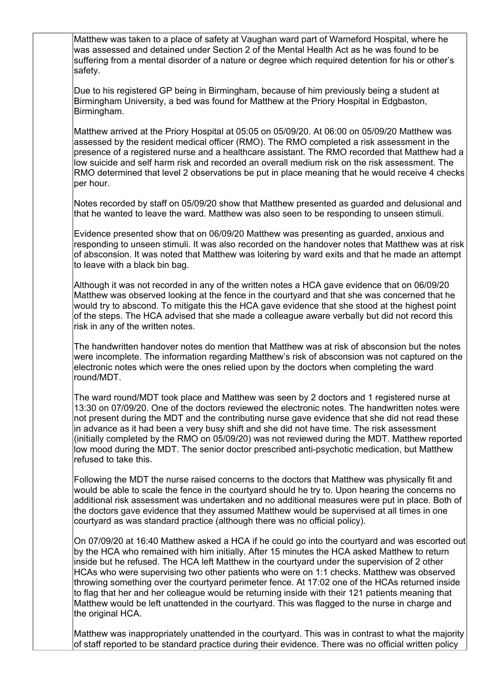was assessed and detained under Section 2 of the Mental Health Act as he was found to be Matthew was taken to a place of safety at Vaughan ward part of Warneford Hospital, where he suffering from a mental disorder of a nature or degree which required detention for his or other's safety.

Due to his registered GP being in Birmingham, because of him previously being a student at Birmingham University, a bed was found for Matthew at the Priory Hospital in Edgbaston, Birmingham.

 assessed by the resident medical officer (RMO). The RMO completed a risk assessment in the Matthew arrived at the Priory Hospital at 05:05 on 05/09/20. At 06:00 on 05/09/20 Matthew was presence of a registered nurse and a healthcare assistant. The RMO recorded that Matthew had a low suicide and self harm risk and recorded an overall medium risk on the risk assessment. The RMO determined that level 2 observations be put in place meaning that he would receive 4 checks per hour.

Notes recorded by staff on 05/09/20 show that Matthew presented as guarded and delusional and that he wanted to leave the ward. Matthew was also seen to be responding to unseen stimuli.

 to leave with a black bin bag. Evidence presented show that on 06/09/20 Matthew was presenting as guarded, anxious and responding to unseen stimuli. It was also recorded on the handover notes that Matthew was at risk of absconsion. It was noted that Matthew was loitering by ward exits and that he made an attempt

 Although it was not recorded in any of the written notes a HCA gave evidence that on 06/09/20 of the steps. The HCA advised that she made a colleague aware verbally but did not record this Matthew was observed looking at the fence in the courtyard and that she was concerned that he would try to abscond. To mitigate this the HCA gave evidence that she stood at the highest point risk in any of the written notes.

 were incomplete. The information regarding Matthew's risk of absconsion was not captured on the electronic notes which were the ones relied upon by the doctors when completing the ward The handwritten handover notes do mention that Matthew was at risk of absconsion but the notes round/MDT.

 (initially completed by the RMO on 05/09/20) was not reviewed during the MDT. Matthew reported The ward round/MDT took place and Matthew was seen by 2 doctors and 1 registered nurse at 13:30 on 07/09/20. One of the doctors reviewed the electronic notes. The handwritten notes were not present during the MDT and the contributing nurse gave evidence that she did not read these in advance as it had been a very busy shift and she did not have time. The risk assessment low mood during the MDT. The senior doctor prescribed anti-psychotic medication, but Matthew refused to take this.

 the doctors gave evidence that they assumed Matthew would be supervised at all times in one Following the MDT the nurse raised concerns to the doctors that Matthew was physically fit and would be able to scale the fence in the courtyard should he try to. Upon hearing the concerns no additional risk assessment was undertaken and no additional measures were put in place. Both of courtyard as was standard practice (although there was no official policy).

 On 07/09/20 at 16:40 Matthew asked a HCA if he could go into the courtyard and was escorted out by the HCA who remained with him initially. After 15 minutes the HCA asked Matthew to return inside but he refused. The HCA left Matthew in the courtyard under the supervision of 2 other HCAs who were supervising two other patients who were on 1:1 checks. Matthew was observed throwing something over the courtyard perimeter fence. At 17:02 one of the HCAs returned inside to flag that her and her colleague would be returning inside with their 121 patients meaning that Matthew would be left unattended in the courtyard. This was flagged to the nurse in charge and the original HCA.

Matthew was inappropriately unattended in the courtyard. This was in contrast to what the majority of staff reported to be standard practice during their evidence. There was no official written policy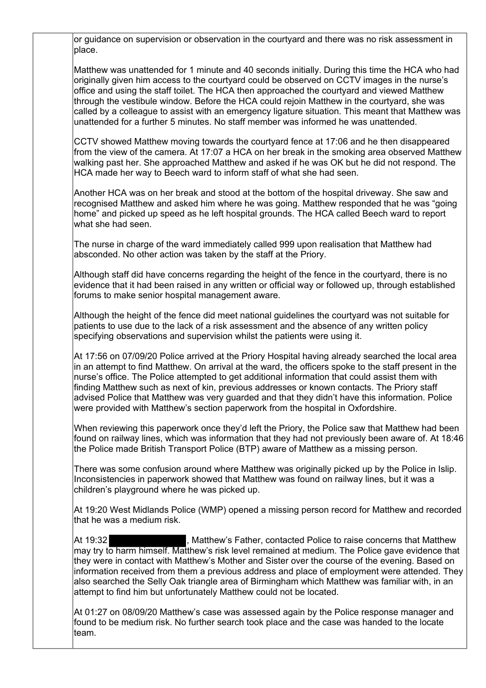or guidance on supervision or observation in the courtyard and there was no risk assessment in place.

 through the vestibule window. Before the HCA could rejoin Matthew in the courtyard, she was Matthew was unattended for 1 minute and 40 seconds initially. During this time the HCA who had originally given him access to the courtyard could be observed on CCTV images in the nurse's office and using the staff toilet. The HCA then approached the courtyard and viewed Matthew called by a colleague to assist with an emergency ligature situation. This meant that Matthew was unattended for a further 5 minutes. No staff member was informed he was unattended.

CCTV showed Matthew moving towards the courtyard fence at 17:06 and he then disappeared from the view of the camera. At 17:07 a HCA on her break in the smoking area observed Matthew walking past her. She approached Matthew and asked if he was OK but he did not respond. The HCA made her way to Beech ward to inform staff of what she had seen.

Another HCA was on her break and stood at the bottom of the hospital driveway. She saw and recognised Matthew and asked him where he was going. Matthew responded that he was "going home" and picked up speed as he left hospital grounds. The HCA called Beech ward to report what she had seen.

The nurse in charge of the ward immediately called 999 upon realisation that Matthew had absconded. No other action was taken by the staff at the Priory.

 Although staff did have concerns regarding the height of the fence in the courtyard, there is no evidence that it had been raised in any written or official way or followed up, through established forums to make senior hospital management aware.

Although the height of the fence did meet national guidelines the courtyard was not suitable for patients to use due to the lack of a risk assessment and the absence of any written policy specifying observations and supervision whilst the patients were using it.

At 17:56 on 07/09/20 Police arrived at the Priory Hospital having already searched the local area in an attempt to find Matthew. On arrival at the ward, the officers spoke to the staff present in the nurse's office. The Police attempted to get additional information that could assist them with finding Matthew such as next of kin, previous addresses or known contacts. The Priory staff advised Police that Matthew was very guarded and that they didn't have this information. Police were provided with Matthew's section paperwork from the hospital in Oxfordshire.

 the Police made British Transport Police (BTP) aware of Matthew as a missing person. When reviewing this paperwork once they'd left the Priory, the Police saw that Matthew had been found on railway lines, which was information that they had not previously been aware of. At 18:46

There was some confusion around where Matthew was originally picked up by the Police in Islip. Inconsistencies in paperwork showed that Matthew was found on railway lines, but it was a children's playground where he was picked up.

At 19:20 West Midlands Police (WMP) opened a missing person record for Matthew and recorded that he was a medium risk.

At 19:32 **Alte Automa Automa Addarry Andrian**, Matthew's Father, contacted Police to raise concerns that Matthew may try to harm himself. Matthew's risk level remained at medium. The Police gave evidence that they were in contact with Matthew's Mother and Sister over the course of the evening. Based on information received from them a previous address and place of employment were attended. They also searched the Selly Oak triangle area of Birmingham which Matthew was familiar with, in an attempt to find him but unfortunately Matthew could not be located.

 found to be medium risk. No further search took place and the case was handed to the locate At 01:27 on 08/09/20 Matthew's case was assessed again by the Police response manager and team.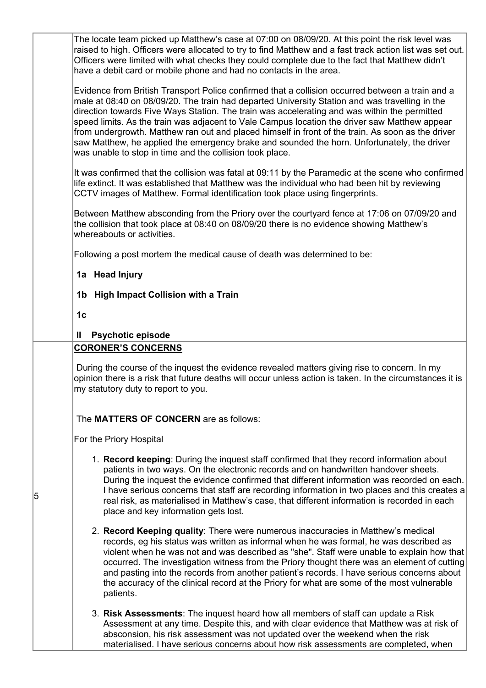The locate team picked up Matthew's case at 07:00 on 08/09/20. At this point the risk level was raised to high. Officers were allocated to try to find Matthew and a fast track action list was set out. Officers were limited with what checks they could complete due to the fact that Matthew didn't have a debit card or mobile phone and had no contacts in the area.

Evidence from British Transport Police confirmed that a collision occurred between a train and a male at 08:40 on 08/09/20. The train had departed University Station and was travelling in the direction towards Five Ways Station. The train was accelerating and was within the permitted speed limits. As the train was adjacent to Vale Campus location the driver saw Matthew appear from undergrowth. Matthew ran out and placed himself in front of the train. As soon as the driver saw Matthew, he applied the emergency brake and sounded the horn. Unfortunately, the driver was unable to stop in time and the collision took place.

It was confirmed that the collision was fatal at 09:11 by the Paramedic at the scene who confirmed life extinct. It was established that Matthew was the individual who had been hit by reviewing CCTV images of Matthew. Formal identification took place using fingerprints.

Between Matthew absconding from the Priory over the courtyard fence at 17:06 on 07/09/20 and the collision that took place at 08:40 on 08/09/20 there is no evidence showing Matthew's whereabouts or activities.

Following a post mortem the medical cause of death was determined to be:

## **1a Head Injury**

- **1b High Impact Collision with a Train**
- **1c**

5

## **II Psychotic episode**

## **CORONER'S CONCERNS**

 During the course of the inquest the evidence revealed matters giving rise to concern. In my my statutory duty to report to you. opinion there is a risk that future deaths will occur unless action is taken. In the circumstances it is

The **MATTERS OF CONCERN** are as follows:

For the Priory Hospital

- patients in two ways. On the electronic records and on handwritten handover sheets. 1. **Record keeping**: During the inquest staff confirmed that they record information about During the inquest the evidence confirmed that different information was recorded on each. I have serious concerns that staff are recording information in two places and this creates a real risk, as materialised in Matthew's case, that different information is recorded in each place and key information gets lost.
- 2. **Record Keeping quality**: There were numerous inaccuracies in Matthew's medical records, eg his status was written as informal when he was formal, he was described as violent when he was not and was described as "she". Staff were unable to explain how that occurred. The investigation witness from the Priory thought there was an element of cutting and pasting into the records from another patient's records. I have serious concerns about the accuracy of the clinical record at the Priory for what are some of the most vulnerable patients.
- 3. **Risk Assessments**: The inquest heard how all members of staff can update a Risk Assessment at any time. Despite this, and with clear evidence that Matthew was at risk of absconsion, his risk assessment was not updated over the weekend when the risk materialised. I have serious concerns about how risk assessments are completed, when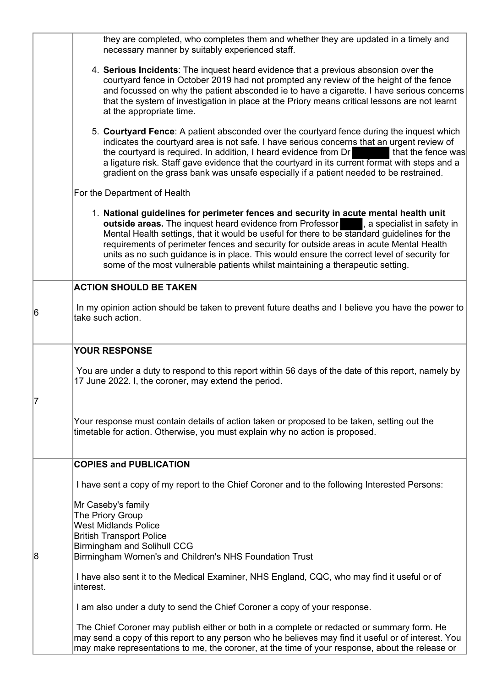|    | they are completed, who completes them and whether they are updated in a timely and<br>necessary manner by suitably experienced staff.                                                                                                                                                                                                                                                                                                                                                                                                                |
|----|-------------------------------------------------------------------------------------------------------------------------------------------------------------------------------------------------------------------------------------------------------------------------------------------------------------------------------------------------------------------------------------------------------------------------------------------------------------------------------------------------------------------------------------------------------|
|    | 4. Serious Incidents: The inquest heard evidence that a previous absonsion over the<br>courtyard fence in October 2019 had not prompted any review of the height of the fence<br>and focussed on why the patient absconded ie to have a cigarette. I have serious concerns<br>that the system of investigation in place at the Priory means critical lessons are not learnt<br>at the appropriate time.                                                                                                                                               |
|    | 5. Courtyard Fence: A patient absconded over the courtyard fence during the inquest which<br>indicates the courtyard area is not safe. I have serious concerns that an urgent review of<br>the courtyard is required. In addition, I heard evidence from Dr<br>that the fence was<br>a ligature risk. Staff gave evidence that the courtyard in its current format with steps and a<br>gradient on the grass bank was unsafe especially if a patient needed to be restrained.                                                                         |
|    | For the Department of Health                                                                                                                                                                                                                                                                                                                                                                                                                                                                                                                          |
|    | 1. National guidelines for perimeter fences and security in acute mental health unit<br>outside areas. The inquest heard evidence from Professor   a specialist in safety in<br>Mental Health settings, that it would be useful for there to be standard guidelines for the<br>requirements of perimeter fences and security for outside areas in acute Mental Health<br>units as no such guidance is in place. This would ensure the correct level of security for<br>some of the most vulnerable patients whilst maintaining a therapeutic setting. |
|    | <b>ACTION SHOULD BE TAKEN</b>                                                                                                                                                                                                                                                                                                                                                                                                                                                                                                                         |
| 16 | In my opinion action should be taken to prevent future deaths and I believe you have the power to<br>take such action.                                                                                                                                                                                                                                                                                                                                                                                                                                |
|    | <b>YOUR RESPONSE</b>                                                                                                                                                                                                                                                                                                                                                                                                                                                                                                                                  |
| 17 | You are under a duty to respond to this report within 56 days of the date of this report, namely by<br>17 June 2022. I, the coroner, may extend the period.                                                                                                                                                                                                                                                                                                                                                                                           |
|    | Your response must contain details of action taken or proposed to be taken, setting out the<br>timetable for action. Otherwise, you must explain why no action is proposed.                                                                                                                                                                                                                                                                                                                                                                           |
|    | <b>COPIES and PUBLICATION</b>                                                                                                                                                                                                                                                                                                                                                                                                                                                                                                                         |
| 8  | I have sent a copy of my report to the Chief Coroner and to the following Interested Persons:                                                                                                                                                                                                                                                                                                                                                                                                                                                         |
|    | Mr Caseby's family<br>The Priory Group<br><b>West Midlands Police</b><br><b>British Transport Police</b><br><b>Birmingham and Solihull CCG</b><br>Birmingham Women's and Children's NHS Foundation Trust                                                                                                                                                                                                                                                                                                                                              |
|    | I have also sent it to the Medical Examiner, NHS England, CQC, who may find it useful or of<br>interest.                                                                                                                                                                                                                                                                                                                                                                                                                                              |
|    | I am also under a duty to send the Chief Coroner a copy of your response.                                                                                                                                                                                                                                                                                                                                                                                                                                                                             |
|    | The Chief Coroner may publish either or both in a complete or redacted or summary form. He<br>may send a copy of this report to any person who he believes may find it useful or of interest. You<br>may make representations to me, the coroner, at the time of your response, about the release or                                                                                                                                                                                                                                                  |

L